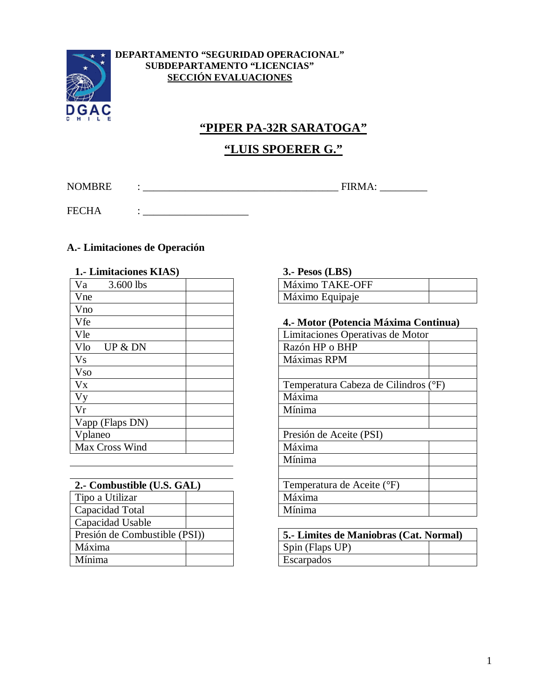

#### **DEPARTAMENTO "SEGURIDAD OPERACIONAL" SUBDEPARTAMENTO "LICENCIAS" SECCIÓN EVALUACIONES**

# **"PIPER PA-32R SARATOGA"**

# **"LUIS SPOERER G."**

NOMBRE : \_\_\_\_\_\_\_\_\_\_\_\_\_\_\_\_\_\_\_\_\_\_\_\_\_\_\_\_\_\_\_\_\_\_\_\_\_ FIRMA: \_\_\_\_\_\_\_\_\_

FECHA : \_\_\_\_\_\_\_\_\_\_\_\_\_\_\_\_\_\_\_\_

# **A.- Limitaciones de Operación**

| 1. Limitaciones KIAS) | $3.$ - Pesos (LBS)               |
|-----------------------|----------------------------------|
| Va<br>3.600 lbs       | Máximo TAKE-OFF                  |
| Vne                   | Máximo Equipaje                  |
| Vno                   |                                  |
| Vfe                   | 4.- Motor (Potencia Máxima Cor   |
| Vle                   | Limitaciones Operativas de Motor |
| Vlo<br>UP & DN        | Razón HP o BHP                   |
| Vs                    | Máximas RPM                      |
| <b>Vso</b>            |                                  |
| <b>V</b> <sub>x</sub> | Temperatura Cabeza de Cilindros  |
| Vy                    | Máxima                           |
| Vr                    | Mínima                           |
| Vapp (Flaps DN)       |                                  |
| Vplaneo               | Presión de Aceite (PSI)          |
| Max Cross Wind        | Máxima                           |

| 2.- Combustible (U.S. GAL)   | Temperatura de Aceite (°F)      |
|------------------------------|---------------------------------|
| Tipo a Utilizar              | Máxima                          |
| Capacidad Total              | Mínima                          |
| Capacidad Usable             |                                 |
| Presión de Combustible (PSI) | <b>5.- Limites de Maniobras</b> |
| Máxima                       | Spin (Flaps UP)                 |
| Mínima                       | Escarpados                      |

#### **1.- Limitaciones KIAS) 3.- Pesos (LBS)**

| Máximo TAKE-OFF |  |
|-----------------|--|
| Máximo Equipaje |  |

# Vfe **4.- Motor (Potencia Máxima Continua)**

| Vle                        | Limitaciones Operativas de Motor     |
|----------------------------|--------------------------------------|
| Vlo<br>UP & DN             | Razón HP o BHP                       |
| V <sub>S</sub>             | Máximas RPM                          |
| <b>Vso</b>                 |                                      |
| $V_{X}$                    | Temperatura Cabeza de Cilindros (°F) |
| Vy                         | Máxima                               |
| Vr                         | Mínima                               |
| Vapp (Flaps DN)            |                                      |
| Vplaneo                    | Presión de Aceite (PSI)              |
| Max Cross Wind             | Máxima                               |
|                            | Mínima                               |
|                            |                                      |
| 2.- Combustible (U.S. GAL) | Temperatura de Aceite (°F)           |
| Tipo a Utilizar            | Máxima                               |
| Capacidad Total            | Mínima                               |
|                            |                                      |

| Presión de Combustible (PSI)) |  | 5. Limites de Maniobras (Cat. Normal) |  |
|-------------------------------|--|---------------------------------------|--|
| Máxima                        |  | Spin (Flaps UP)                       |  |
| Mínima                        |  | Escarpados                            |  |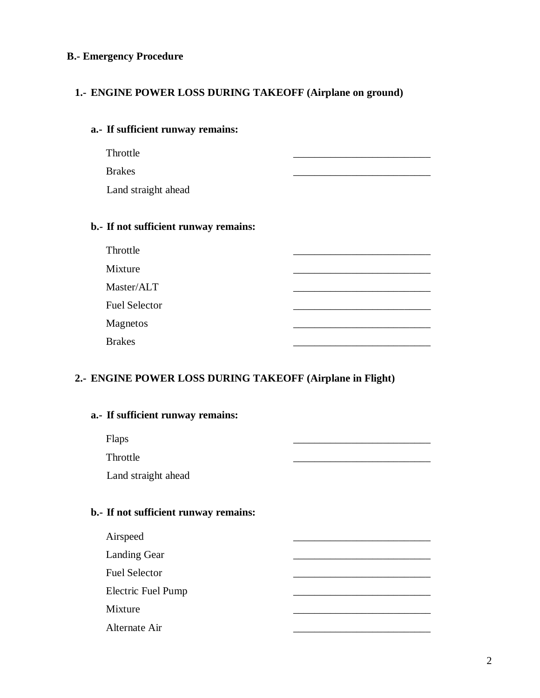# **B.- Emergency Procedure**

# **1.- ENGINE POWER LOSS DURING TAKEOFF (Airplane on ground)**

# **a.- If sufficient runway remains:**

Throttle \_\_\_\_\_\_\_\_\_\_\_\_\_\_\_\_\_\_\_\_\_\_\_\_\_\_

Brakes \_\_\_\_\_\_\_\_\_\_\_\_\_\_\_\_\_\_\_\_\_\_\_\_\_\_

Land straight ahead

# **b.- If not sufficient runway remains:**

| Throttle             |  |
|----------------------|--|
| Mixture              |  |
| Master/ALT           |  |
| <b>Fuel Selector</b> |  |
| <b>Magnetos</b>      |  |
| <b>Brakes</b>        |  |

#### **2.- ENGINE POWER LOSS DURING TAKEOFF (Airplane in Flight)**

| a.- If sufficient runway remains:     |  |
|---------------------------------------|--|
| Flaps                                 |  |
| Throttle                              |  |
| Land straight ahead                   |  |
|                                       |  |
| b.- If not sufficient runway remains: |  |
| Airspeed                              |  |
| <b>Landing Gear</b>                   |  |
| <b>Fuel Selector</b>                  |  |
| <b>Electric Fuel Pump</b>             |  |
| Mixture                               |  |
| Alternate Air                         |  |
|                                       |  |